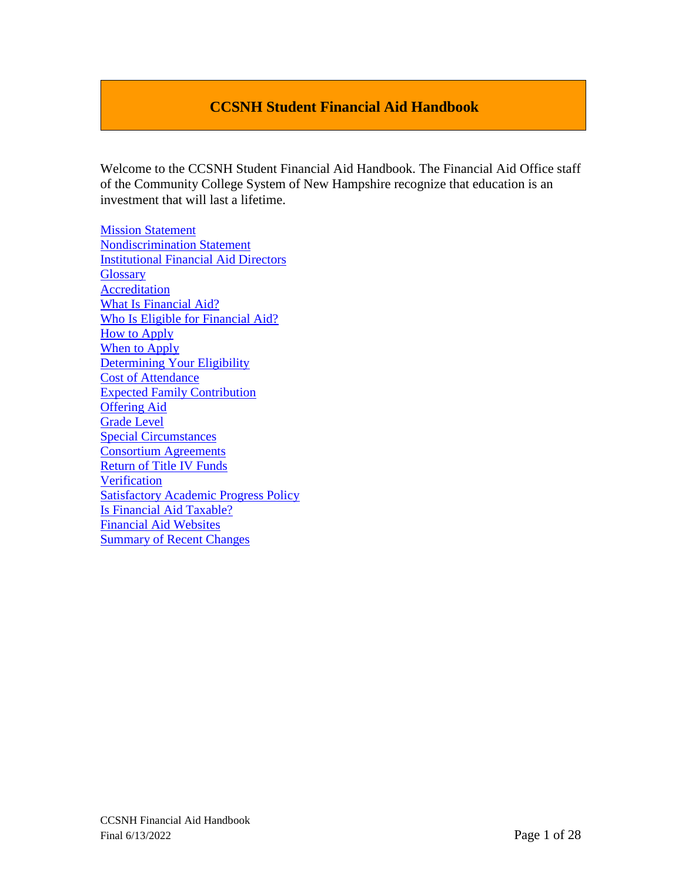# **CCSNH Student Financial Aid Handbook**

Welcome to the CCSNH Student Financial Aid Handbook. The Financial Aid Office staff of the Community College System of New Hampshire recognize that education is an investment that will last a lifetime.

[Mission Statement](#page-1-0) [Nondiscrimination Statement](#page-1-1) [Institutional Financial Aid Directors](#page-2-0) **[Glossary](#page-5-0) [Accreditation](#page-5-1)** [What Is Financial Aid?](#page-5-2)  [Who Is Eligible for Financial Aid?](#page-6-0) [How to Apply](#page-7-0) When to Apply [Determining Your Eligibility](#page-7-1) [Cost of Attendance](#page-8-0) [Expected Family Contribution](#page-9-0) [Offering Aid](#page-9-1) [Grade Level](#page-11-0) [Special Circumstances](#page-11-1) [Consortium Agreements](#page-11-2) [Return of Title IV Funds](#page-12-0) [Verification](#page-14-0) [Satisfactory Academic Progress Policy](#page-24-0) [Is Financial Aid Taxable?](#page-22-0) Financial Aid Websites [Summary of Recent Changes](#page-24-1)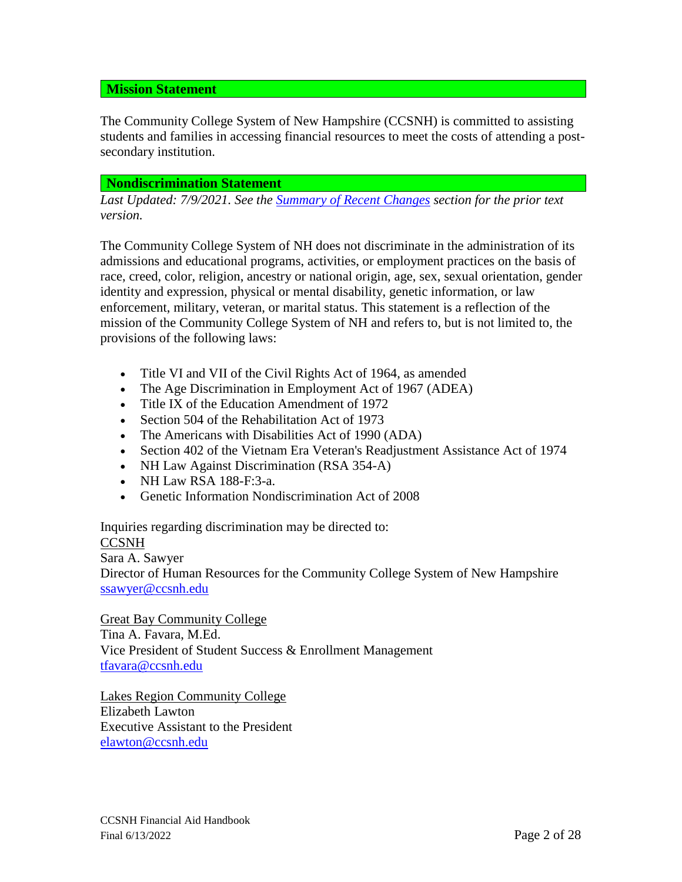### <span id="page-1-0"></span>**Mission Statement**

The Community College System of New Hampshire (CCSNH) is committed to assisting students and families in accessing financial resources to meet the costs of attending a postsecondary institution.

#### <span id="page-1-1"></span>**Nondiscrimination Statement**

*Last Updated: 7/9/2021. See the [Summary of Recent Changes](#page-24-1) section for the prior text version.*

The Community College System of NH does not discriminate in the administration of its admissions and educational programs, activities, or employment practices on the basis of race, creed, color, religion, ancestry or national origin, age, sex, sexual orientation, gender identity and expression, physical or mental disability, genetic information, or law enforcement, military, veteran, or marital status. This statement is a reflection of the mission of the Community College System of NH and refers to, but is not limited to, the provisions of the following laws:

- Title VI and VII of the Civil Rights Act of 1964, as amended
- The Age Discrimination in Employment Act of 1967 (ADEA)
- Title IX of the Education Amendment of 1972
- Section 504 of the Rehabilitation Act of 1973
- The Americans with Disabilities Act of 1990 (ADA)
- Section 402 of the Vietnam Era Veteran's Readjustment Assistance Act of 1974
- NH Law Against Discrimination (RSA 354-A)
- NH Law RSA 188-F:3-a.
- Genetic Information Nondiscrimination Act of 2008

Inquiries regarding discrimination may be directed to:

#### **CCSNH**

Sara A. Sawyer

Director of Human Resources for the Community College System of New Hampshire [ssawyer@ccsnh.edu](mailto:ssawyer@ccsnh.edu)

Great Bay Community College Tina A. Favara, M.Ed. Vice President of Student Success & Enrollment Management [tfavara@ccsnh.edu](mailto:tfavara@ccsnh.edu)

Lakes Region Community College Elizabeth Lawton Executive Assistant to the President [elawton@ccsnh.edu](mailto:elawton@ccsnh.edu)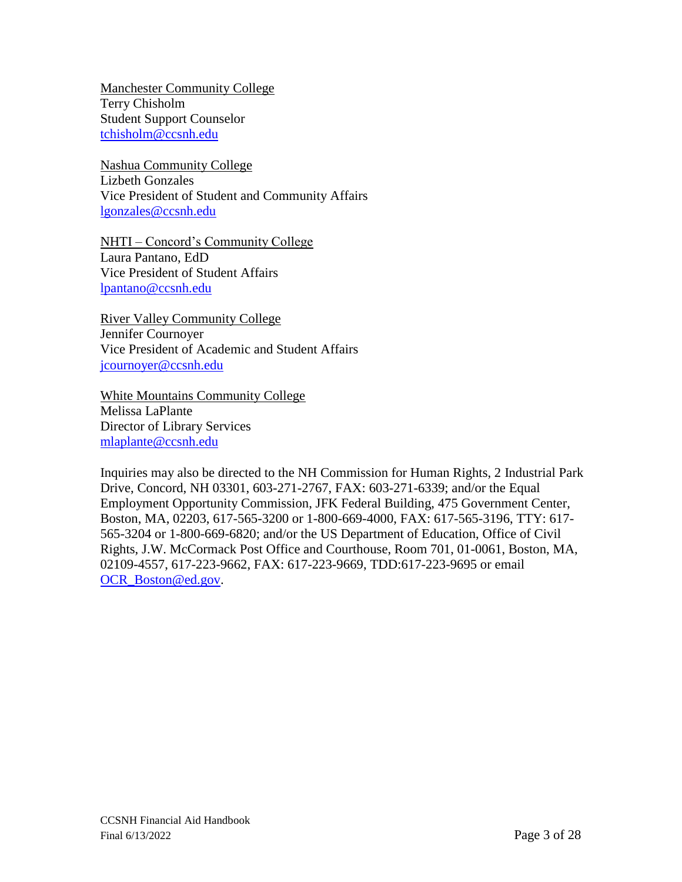Manchester Community College Terry Chisholm Student Support Counselor [tchisholm@ccsnh.edu](mailto:tchisholm@ccsnh.edu)

Nashua Community College Lizbeth Gonzales Vice President of Student and Community Affairs [lgonzales@ccsnh.edu](mailto:lgonzales@ccsnh.edu)

NHTI – Concord's Community College Laura Pantano, EdD Vice President of Student Affairs [lpantano@ccsnh.edu](mailto:lpantano@ccsnh.edu)

River Valley Community College Jennifer Cournoyer Vice President of Academic and Student Affairs [jcournoyer@ccsnh.edu](mailto:jcournoyer@ccsnh.edu)

White Mountains Community College Melissa LaPlante Director of Library Services [mlaplante@ccsnh.edu](mailto:mlaplante@ccsnh.edu)

<span id="page-2-0"></span>Inquiries may also be directed to the NH Commission for Human Rights, 2 Industrial Park Drive, Concord, NH 03301, 603-271-2767, FAX: 603-271-6339; and/or the Equal Employment Opportunity Commission, JFK Federal Building, 475 Government Center, Boston, MA, 02203, 617-565-3200 or 1-800-669-4000, FAX: 617-565-3196, TTY: 617- 565-3204 or 1-800-669-6820; and/or the US Department of Education, Office of Civil Rights, J.W. McCormack Post Office and Courthouse, Room 701, 01-0061, Boston, MA, 02109-4557, 617-223-9662, FAX: 617-223-9669, TDD:617-223-9695 or email [OCR\\_Boston@ed.gov.](mailto:OCR_Boston@ed.gov)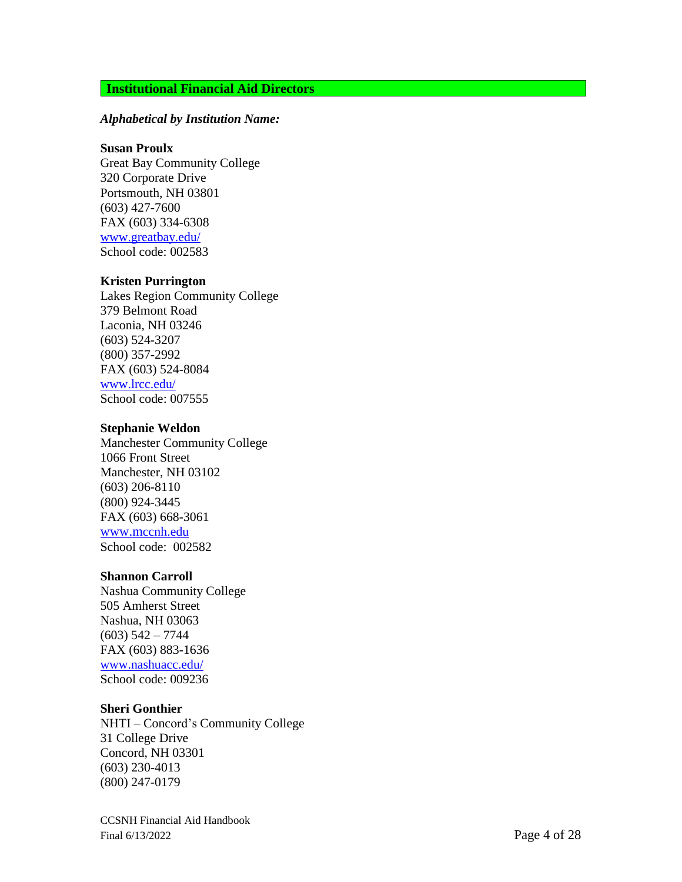### **Institutional Financial Aid Directors**

#### *Alphabetical by Institution Name:*

#### **Susan Proulx**

Great Bay Communit y Colleg e 320 Corporate Drive Portsmouth, NH 03801 (603) 427 -7600 FA X (603) 334 -6308 [www.greatbay.edu/](http://www.greatbay.edu/) School code: 002583

#### **Kriste n Purrington**

Lakes Region Community College 379 Belmont Roa d Laconia, N H 03246 (603) 524 -3207 (800) 357 -2992 FA X (603) 524 -8084 [www.lrcc.edu/](http://www.lrcc.edu/) School code: 007555

#### **S teph ani e Weldon**

Manchester Community College 1066 Front Street Manchester, NH 03102 (603) 206 -8110 (800) 924 -3445 FA X (603) 668 -3061 www.m[ccnh.edu](http://www.mccnh.edu/) School code: 002582

#### **Shannon Carroll**

Nashua Communit y Colleg e 505 Amherst Street Nashu a, N H 03063  $(603)$  542 - 7744 FA X (603) 883 -1636 [www.nashuacc.edu/](http://www.nashuacc.edu/) School code: 009236

#### **Sher i G o n thie r**

NHTI - Concord's Community College 31 Colleg e D riv e Con cord, N H 03301 (603) 230 -4013 (800) 247 -0179

CCSNH Financial Aid Handbook Final 6/13/2022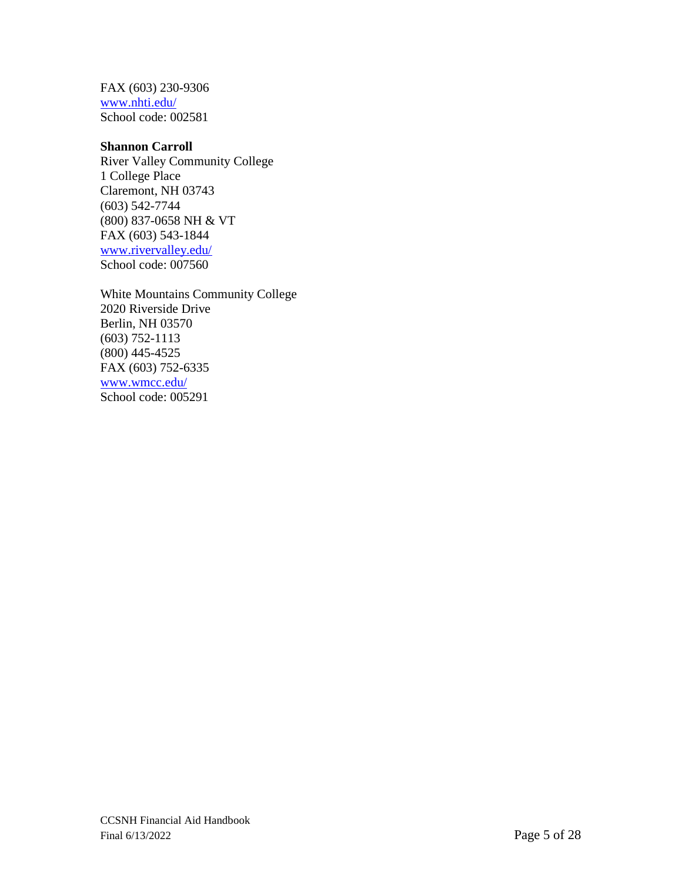FAX (603) 230-9306 [www.nhti.edu/](http://www.nhti.edu/) School code: 002581

#### **Shannon Carroll**

River Valley Community College 1 College Place Claremont, NH 03743 (603) 542-7744 (800) 837-0658 NH & VT FAX (603) 543-1844 [www.rivervalley.edu/](http://www.rivervalley.edu/) School code: 007560

White Mountains Community College 2020 Riverside Drive Berlin, NH 03570 (603) 752-1113 (800) 445-4525 FAX (603) 752-6335 [www.wmcc.edu/](http://www.wmcc.edu/) School code: 005291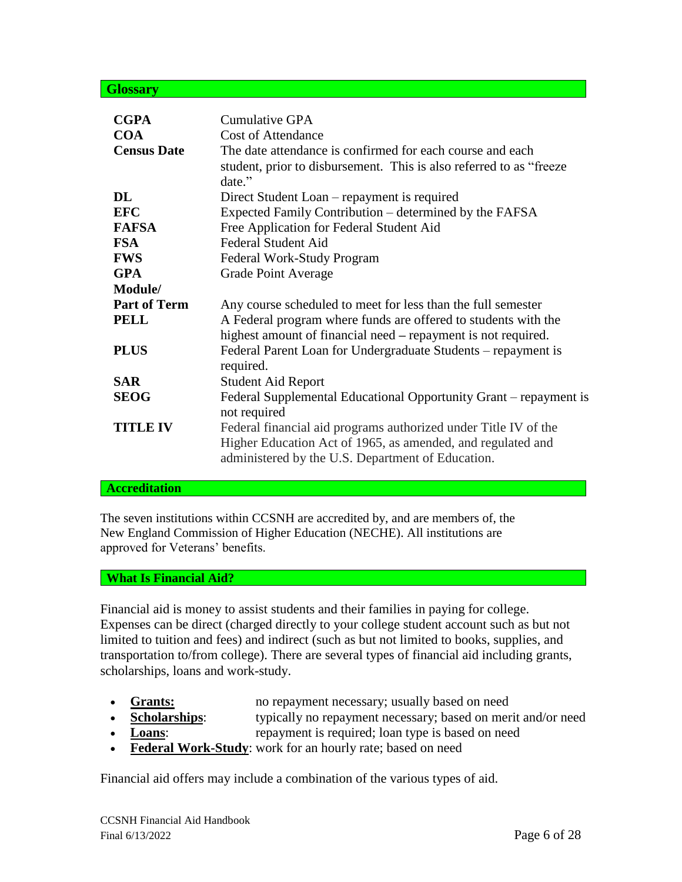#### <span id="page-5-0"></span>**Glossary**

| <b>CGPA</b>         | <b>Cumulative GPA</b>                                                                                                                                                               |
|---------------------|-------------------------------------------------------------------------------------------------------------------------------------------------------------------------------------|
| <b>COA</b>          | <b>Cost of Attendance</b>                                                                                                                                                           |
| <b>Census Date</b>  | The date attendance is confirmed for each course and each<br>student, prior to disbursement. This is also referred to as "freeze<br>date."                                          |
| DL.                 | Direct Student Loan – repayment is required                                                                                                                                         |
| <b>EFC</b>          | Expected Family Contribution – determined by the FAFSA                                                                                                                              |
| <b>FAFSA</b>        | Free Application for Federal Student Aid                                                                                                                                            |
| <b>FSA</b>          | <b>Federal Student Aid</b>                                                                                                                                                          |
| <b>FWS</b>          | Federal Work-Study Program                                                                                                                                                          |
| <b>GPA</b>          | <b>Grade Point Average</b>                                                                                                                                                          |
| Module/             |                                                                                                                                                                                     |
| <b>Part of Term</b> | Any course scheduled to meet for less than the full semester                                                                                                                        |
| <b>PELL</b>         | A Federal program where funds are offered to students with the<br>highest amount of financial need – repayment is not required.                                                     |
| <b>PLUS</b>         | Federal Parent Loan for Undergraduate Students – repayment is<br>required.                                                                                                          |
| <b>SAR</b>          | <b>Student Aid Report</b>                                                                                                                                                           |
| <b>SEOG</b>         | Federal Supplemental Educational Opportunity Grant – repayment is<br>not required                                                                                                   |
| <b>TITLE IV</b>     | Federal financial aid programs authorized under Title IV of the<br>Higher Education Act of 1965, as amended, and regulated and<br>administered by the U.S. Department of Education. |

#### <span id="page-5-1"></span>**Accreditation**

The seven institutions within CCSNH are accredited by, and are members of, the New England Commission of Higher Education (NECHE). All institutions are approved for Veterans' benefits.

#### <span id="page-5-2"></span>**What Is Financial Aid?**

Financial aid is money to assist students and their families in paying for college. Expenses can be direct (charged directly to your college student account such as but not limited to tuition and fees) and indirect (such as but not limited to books, supplies, and transportation to/from college). There are several types of financial aid including grants, scholarships, loans and work-study.

- - **Grants:** no repayment necessary; usually based on need
- **Scholarships:** typically no repayment necessary; based on merit and/or need
- **Loans:** repayment is required; loan type is based on need
- **Federal Work-Study**: work for an hourly rate; based on need

Financial aid offers may include a combination of the various types of aid.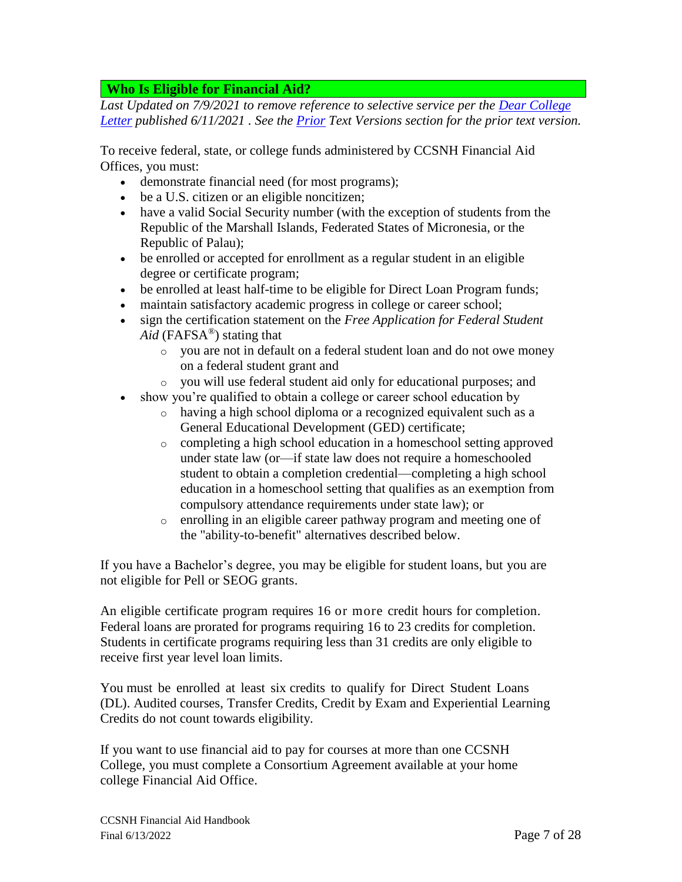## <span id="page-6-0"></span>**Who Is Eligible for Financial Aid?**

*Last Updated on 7/9/2021 to remove reference to selective service per the [Dear College](https://fsapartners.ed.gov/knowledge-center/library/dear-colleague-letters/2021-06-11/early-implementation-fafsa-simplification-acts-removal-selective-service-and-drug-conviction-requirements-title-iv-eligibility)  [Letter](https://fsapartners.ed.gov/knowledge-center/library/dear-colleague-letters/2021-06-11/early-implementation-fafsa-simplification-acts-removal-selective-service-and-drug-conviction-requirements-title-iv-eligibility) published 6/11/2021 . See the [Prior](#page-24-1) Text Versions section for the prior text version.* 

To receive federal, state, or college funds administered by CCSNH Financial Aid Offices, you must:

- demonstrate financial need (for most programs);
- be a U.S. citizen or an eligible noncitizen;
- have a valid Social Security number (with the exception of students from the Republic of the Marshall Islands, Federated States of Micronesia, or the Republic of Palau);
- be enrolled or accepted for enrollment as a regular student in an eligible degree or certificate program;
- be enrolled at least half-time to be eligible for Direct Loan Program funds;
- maintain satisfactory academic progress in college or career school;
- sign the certification statement on the *Free Application for Federal Student Aid* (FAFSA®) stating that
	- o you are not in default on a federal student loan and do not owe money on a federal student grant and
	- o you will use federal student aid only for educational purposes; and
- show you're qualified to obtain a college or career school education by
	- o having a high school diploma or a recognized equivalent such as a General Educational Development (GED) certificate;
	- o completing a high school education in a homeschool setting approved under state law (or—if state law does not require a homeschooled student to obtain a completion credential—completing a high school education in a homeschool setting that qualifies as an exemption from compulsory attendance requirements under state law); or
	- o enrolling in an eligible career pathway program and meeting one of the "ability-to-benefit" alternatives described below.

If you have a Bachelor's degree, you may be eligible for student loans, but you are not eligible for Pell or SEOG grants.

An eligible certificate program requires 16 or more credit hours for completion. Federal loans are prorated for programs requiring 16 to 23 credits for completion. Students in certificate programs requiring less than 31 credits are only eligible to receive first year level loan limits.

You must be enrolled at least six credits to qualify for Direct Student Loans (DL). Audited courses, Transfer Credits, Credit by Exam and Experiential Learning Credits do not count towards eligibility.

If you want to use financial aid to pay for courses at more than one CCSNH College, you must complete a Consortium Agreement available at your home college Financial Aid Office.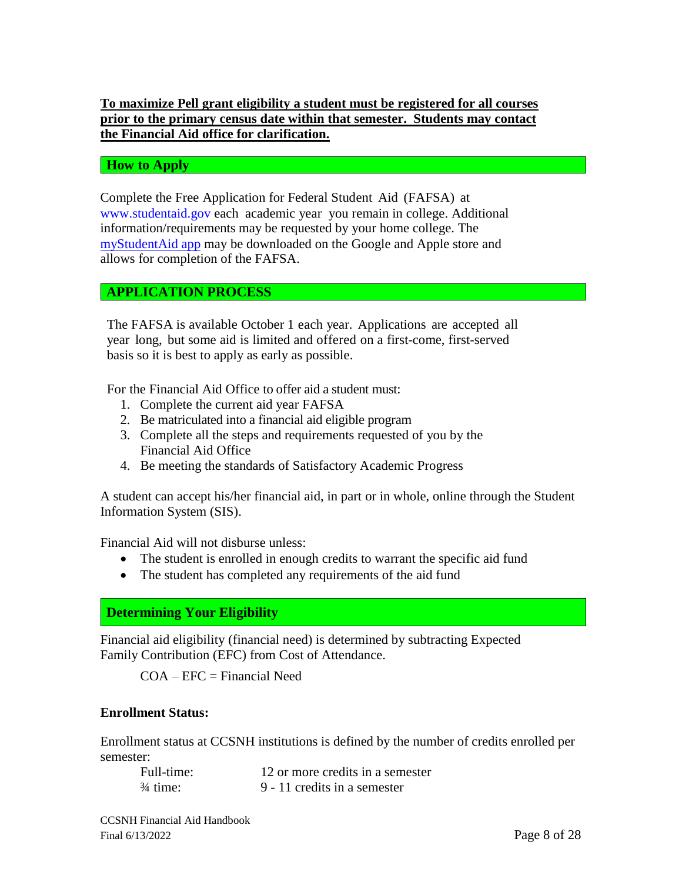## **To maximize Pell grant eligibility a student must be registered for all courses prior to the primary census date within that semester. Students may contact the Financial Aid office for clarification.**

### <span id="page-7-0"></span>**How to Apply**

Complete the Free Application for Federal Student Aid (FAFSA) at [www.studentaid.gov](http://www.fafsa.gov/) each academic year you remain in college. Additional information/requirements may be requested by your home college. The [myStudentAid app](https://studentaid.gov/announcements-events/fafsa-mobile-options) may be downloaded on the Google and Apple store and allows for completion of the FAFSA.

## **APPLICATION PROCESS**

The FAFSA is available October 1 each year. Applications are accepted all year long, but some aid is limited and offered on a first-come, first-served basis so it is best to apply as early as possible.

For the Financial Aid Office to offer aid a student must:

- 1. Complete the current aid year FAFSA
- 2. Be matriculated into a financial aid eligible program
- 3. Complete all the steps and requirements requested of you by the Financial Aid Office
- 4. Be meeting the standards of Satisfactory Academic Progress

A student can accept his/her financial aid, in part or in whole, online through the Student Information System (SIS).

Financial Aid will not disburse unless:

- The student is enrolled in enough credits to warrant the specific aid fund
- The student has completed any requirements of the aid fund

<span id="page-7-1"></span>**Determining Your Eligibility**

Financial aid eligibility (financial need) is determined by subtracting Expected Family Contribution (EFC) from Cost of Attendance.

 $COA - EFC = Financial Need$ 

### **Enrollment Status:**

Enrollment status at CCSNH institutions is defined by the number of credits enrolled per semester:

| Full-time:          | 12 or more credits in a semester |
|---------------------|----------------------------------|
| $\frac{3}{4}$ time: | 9 - 11 credits in a semester     |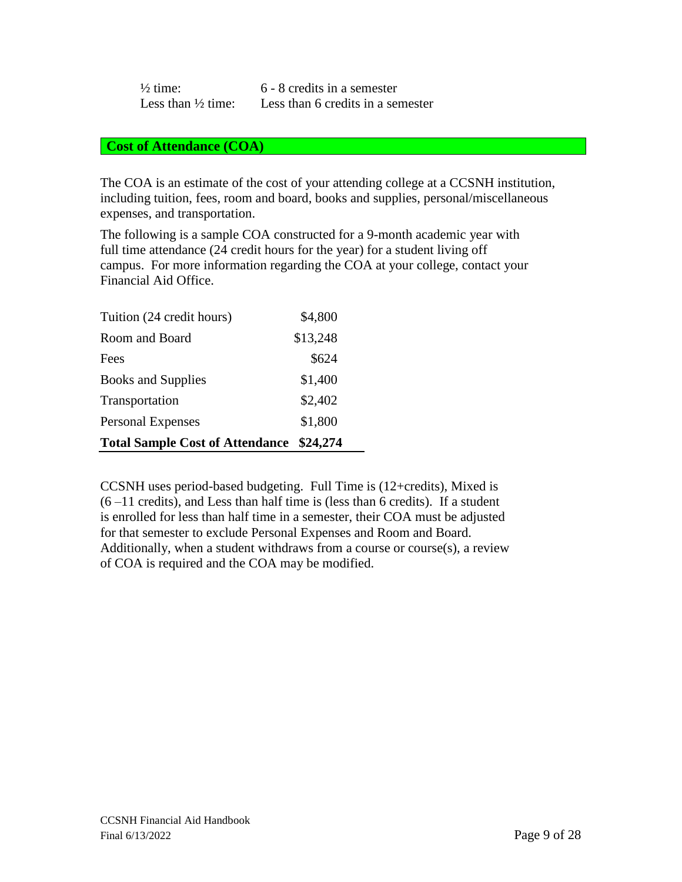| $\frac{1}{2}$ time:           | 6 - 8 credits in a semester       |
|-------------------------------|-----------------------------------|
| Less than $\frac{1}{2}$ time: | Less than 6 credits in a semester |

#### <span id="page-8-0"></span>**Cost of Attendance (COA)**

The COA is an estimate of the cost of your attending college at a CCSNH institution, including tuition, fees, room and board, books and supplies, personal/miscellaneous expenses, and transportation.

The following is a sample COA constructed for a 9-month academic year with full time attendance (24 credit hours for the year) for a student living off campus. For more information regarding the COA at your college, contact your Financial Aid Office.

| <b>Total Sample Cost of Attendance</b> | \$24,274 |
|----------------------------------------|----------|
| <b>Personal Expenses</b>               | \$1,800  |
| Transportation                         | \$2,402  |
| <b>Books and Supplies</b>              | \$1,400  |
| Fees                                   | \$624    |
| Room and Board                         | \$13,248 |
| Tuition (24 credit hours)              | \$4,800  |

CCSNH uses period-based budgeting. Full Time is (12+credits), Mixed is  $(6 - 11$  credits), and Less than half time is (less than 6 credits). If a student is enrolled for less than half time in a semester, their COA must be adjusted for that semester to exclude Personal Expenses and Room and Board. Additionally, when a student withdraws from a course or course(s), a review of COA is required and the COA may be modified.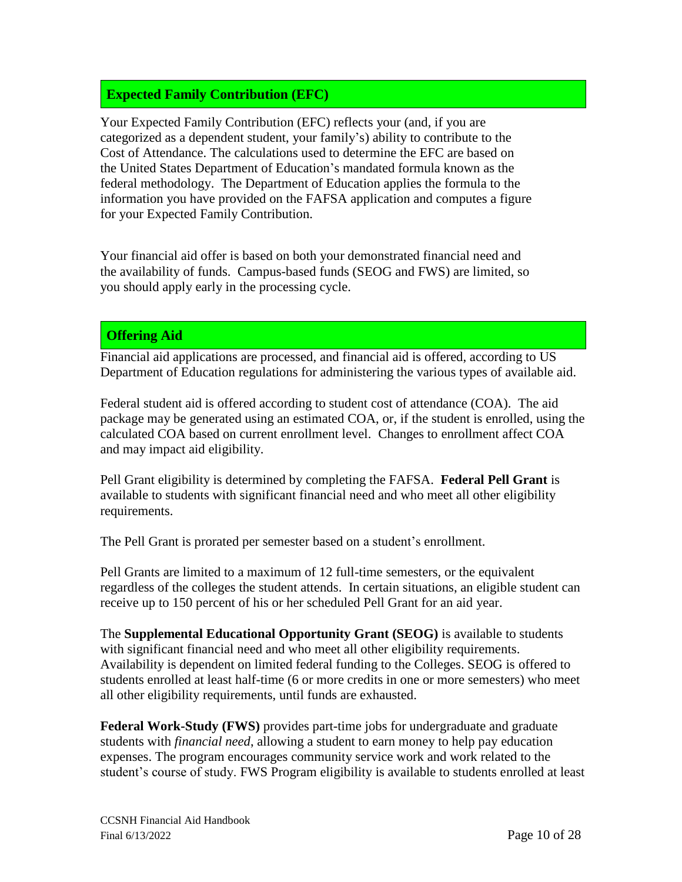# <span id="page-9-0"></span>**Expected Family Contribution (EFC)**

Your Expected Family Contribution (EFC) reflects your (and, if you are categorized as a dependent student, your family's) ability to contribute to the Cost of Attendance. The calculations used to determine the EFC are based on the United States Department of Education's mandated formula known as the federal methodology. The Department of Education applies the formula to the information you have provided on the FAFSA application and computes a figure for your Expected Family Contribution.

Your financial aid offer is based on both your demonstrated financial need and the availability of funds. Campus-based funds (SEOG and FWS) are limited, so you should apply early in the processing cycle.

# <span id="page-9-1"></span>**Offering Aid**

Financial aid applications are processed, and financial aid is offered, according to US Department of Education regulations for administering the various types of available aid.

Federal student aid is offered according to student cost of attendance (COA). The aid package may be generated using an estimated COA, or, if the student is enrolled, using the calculated COA based on current enrollment level. Changes to enrollment affect COA and may impact aid eligibility.

Pell Grant eligibility is determined by completing the FAFSA. **Federal Pell Grant** is available to students with significant financial need and who meet all other eligibility requirements.

The Pell Grant is prorated per semester based on a student's enrollment.

Pell Grants are limited to a maximum of 12 full-time semesters, or the equivalent regardless of the colleges the student attends. In certain situations, an eligible student can receive up to 150 percent of his or her scheduled Pell Grant for an aid year.

The **Supplemental Educational Opportunity Grant (SEOG)** is available to students with significant financial need and who meet all other eligibility requirements. Availability is dependent on limited federal funding to the Colleges. SEOG is offered to students enrolled at least half-time (6 or more credits in one or more semesters) who meet all other eligibility requirements, until funds are exhausted.

**Federal Work-Study (FWS)** provides part-time jobs for undergraduate and graduate students with *financial need*, allowing a student to earn money to help pay education expenses. The program encourages community service work and work related to the student's course of study. FWS Program eligibility is available to students enrolled at least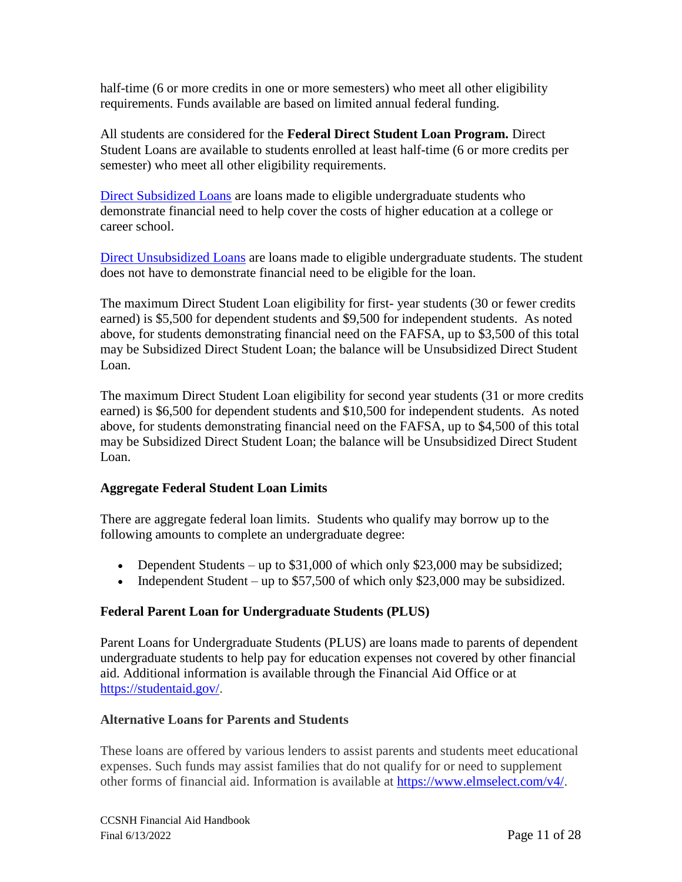half-time (6 or more credits in one or more semesters) who meet all other eligibility requirements. Funds available are based on limited annual federal funding.

All students are considered for the **Federal Direct Student Loan Program.** Direct Student Loans are available to students enrolled at least half-time (6 or more credits per semester) who meet all other eligibility requirements.

[Direct Subsidized Loans](https://studentaid.ed.gov/sa/types/loans/subsidized-unsubsidized) are loans made to eligible undergraduate students who demonstrate financial need to help cover the costs of higher education at a college or career school.

[Direct Unsubsidized Loans](https://studentaid.ed.gov/sa/types/loans/subsidized-unsubsidized) are loans made to eligible undergraduate students. The student does not have to demonstrate financial need to be eligible for the loan.

The maximum Direct Student Loan eligibility for first- year students (30 or fewer credits earned) is \$5,500 for dependent students and \$9,500 for independent students. As noted above, for students demonstrating financial need on the FAFSA, up to \$3,500 of this total may be Subsidized Direct Student Loan; the balance will be Unsubsidized Direct Student Loan.

The maximum Direct Student Loan eligibility for second year students (31 or more credits earned) is \$6,500 for dependent students and \$10,500 for independent students. As noted above, for students demonstrating financial need on the FAFSA, up to \$4,500 of this total may be Subsidized Direct Student Loan; the balance will be Unsubsidized Direct Student Loan.

## **Aggregate Federal Student Loan Limits**

There are aggregate federal loan limits. Students who qualify may borrow up to the following amounts to complete an undergraduate degree:

- Dependent Students up to \$31,000 of which only \$23,000 may be subsidized;
- Independent Student up to \$57,500 of which only \$23,000 may be subsidized.

## **Federal Parent Loan for Undergraduate Students (PLUS)**

Parent Loans for Undergraduate Students (PLUS) are loans made to parents of dependent undergraduate students to help pay for education expenses not covered by other financial aid. Additional information is available through the Financial Aid Office or at [https://studentaid.gov/.](https://studentaid.gov/)

## **Alternative Loans for Parents and Students**

These loans are offered by various lenders to assist parents and students meet educational expenses. Such funds may assist families that do not qualify for or need to supplement other forms of financial aid. Information is available at [https://www.elmselect.com/v4/.](https://www.elmselect.com/v4/)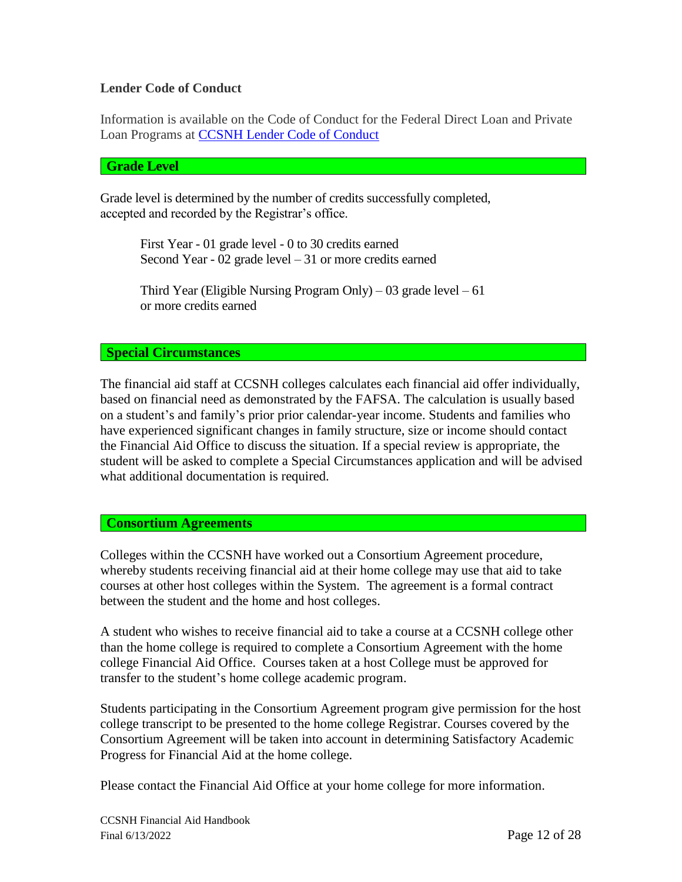## **Lender Code of Conduct**

Information is available on the Code of Conduct for the Federal Direct Loan and Private Loan Programs at [CCSNH Lender Code of Conduct](https://www.ccsnh.edu/wp-content/uploads/2020/03/codeofconduct.pdf)

#### <span id="page-11-0"></span>**Grade Level**

Grade level is determined by the number of credits successfully completed, accepted and recorded by the Registrar's office.

> First Year - 01 grade level - 0 to 30 credits earned Second Year - 02 grade level – 31 or more credits earned

Third Year (Eligible Nursing Program Only) – 03 grade level – 61 or more credits earned

#### <span id="page-11-1"></span>**Special Circumstances**

The financial aid staff at CCSNH colleges calculates each financial aid offer individually, based on financial need as demonstrated by the FAFSA. The calculation is usually based on a student's and family's prior prior calendar-year income. Students and families who have experienced significant changes in family structure, size or income should contact the Financial Aid Office to discuss the situation. If a special review is appropriate, the student will be asked to complete a Special Circumstances application and will be advised what additional documentation is required.

### <span id="page-11-2"></span>**Consortium Agreements**

Colleges within the CCSNH have worked out a Consortium Agreement procedure, whereby students receiving financial aid at their home college may use that aid to take courses at other host colleges within the System. The agreement is a formal contract between the student and the home and host colleges.

A student who wishes to receive financial aid to take a course at a CCSNH college other than the home college is required to complete a Consortium Agreement with the home college Financial Aid Office. Courses taken at a host College must be approved for transfer to the student's home college academic program.

Students participating in the Consortium Agreement program give permission for the host college transcript to be presented to the home college Registrar. Courses covered by the Consortium Agreement will be taken into account in determining Satisfactory Academic Progress for Financial Aid at the home college.

Please contact the Financial Aid Office at your home college for more information.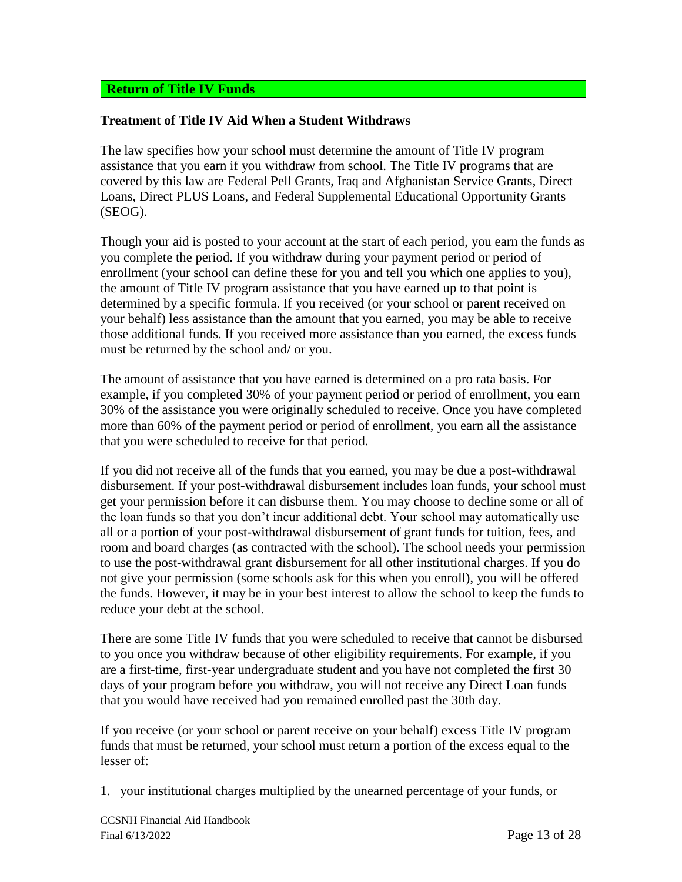## <span id="page-12-0"></span>**Return of Title IV Funds**

### **Treatment of Title IV Aid When a Student Withdraws**

The law specifies how your school must determine the amount of Title IV program assistance that you earn if you withdraw from school. The Title IV programs that are covered by this law are Federal Pell Grants, Iraq and Afghanistan Service Grants, Direct Loans, Direct PLUS Loans, and Federal Supplemental Educational Opportunity Grants (SEOG).

Though your aid is posted to your account at the start of each period, you earn the funds as you complete the period. If you withdraw during your payment period or period of enrollment (your school can define these for you and tell you which one applies to you), the amount of Title IV program assistance that you have earned up to that point is determined by a specific formula. If you received (or your school or parent received on your behalf) less assistance than the amount that you earned, you may be able to receive those additional funds. If you received more assistance than you earned, the excess funds must be returned by the school and/ or you.

The amount of assistance that you have earned is determined on a pro rata basis. For example, if you completed 30% of your payment period or period of enrollment, you earn 30% of the assistance you were originally scheduled to receive. Once you have completed more than 60% of the payment period or period of enrollment, you earn all the assistance that you were scheduled to receive for that period.

If you did not receive all of the funds that you earned, you may be due a post-withdrawal disbursement. If your post-withdrawal disbursement includes loan funds, your school must get your permission before it can disburse them. You may choose to decline some or all of the loan funds so that you don't incur additional debt. Your school may automatically use all or a portion of your post-withdrawal disbursement of grant funds for tuition, fees, and room and board charges (as contracted with the school). The school needs your permission to use the post-withdrawal grant disbursement for all other institutional charges. If you do not give your permission (some schools ask for this when you enroll), you will be offered the funds. However, it may be in your best interest to allow the school to keep the funds to reduce your debt at the school.

There are some Title IV funds that you were scheduled to receive that cannot be disbursed to you once you withdraw because of other eligibility requirements. For example, if you are a first-time, first-year undergraduate student and you have not completed the first 30 days of your program before you withdraw, you will not receive any Direct Loan funds that you would have received had you remained enrolled past the 30th day.

If you receive (or your school or parent receive on your behalf) excess Title IV program funds that must be returned, your school must return a portion of the excess equal to the lesser of:

1. your institutional charges multiplied by the unearned percentage of your funds, or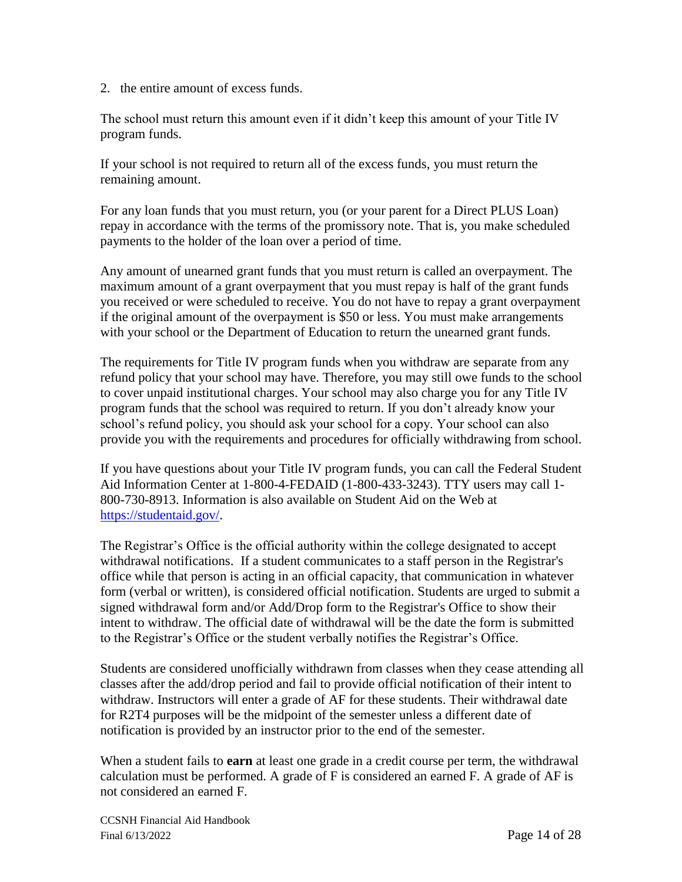2. the entire amount of excess funds.

The school must return this amount even if it didn't keep this amount of your Title IV program funds.

If your school is not required to return all of the excess funds, you must return the remaining amount.

For any loan funds that you must return, you (or your parent for a Direct PLUS Loan) repay in accordance with the terms of the promissory note. That is, you make scheduled payments to the holder of the loan over a period of time.

Any amount of unearned grant funds that you must return is called an overpayment. The maximum amount of a grant overpayment that you must repay is half of the grant funds you received or were scheduled to receive. You do not have to repay a grant overpayment if the original amount of the overpayment is \$50 or less. You must make arrangements with your school or the Department of Education to return the unearned grant funds.

The requirements for Title IV program funds when you withdraw are separate from any refund policy that your school may have. Therefore, you may still owe funds to the school to cover unpaid institutional charges. Your school may also charge you for any Title IV program funds that the school was required to return. If you don't already know your school's refund policy, you should ask your school for a copy. Your school can also provide you with the requirements and procedures for officially withdrawing from school.

If you have questions about your Title IV program funds, you can call the Federal Student Aid Information Center at 1-800-4-FEDAID (1-800-433-3243). TTY users may call 1- 800-730-8913. Information is also available on Student Aid on the Web at [https://studentaid.gov/.](https://studentaid.gov/)

The Registrar's Office is the official authority within the college designated to accept withdrawal notifications. If a student communicates to a staff person in the Registrar's office while that person is acting in an official capacity, that communication in whatever form (verbal or written), is considered official notification. Students are urged to submit a signed withdrawal form and/or Add/Drop form to the Registrar's Office to show their intent to withdraw. The official date of withdrawal will be the date the form is submitted to the Registrar's Office or the student verbally notifies the Registrar's Office.

Students are considered unofficially withdrawn from classes when they cease attending all classes after the add/drop period and fail to provide official notification of their intent to withdraw. Instructors will enter a grade of AF for these students. Their withdrawal date for R2T4 purposes will be the midpoint of the semester unless a different date of notification is provided by an instructor prior to the end of the semester.

When a student fails to **earn** at least one grade in a credit course per term, the withdrawal calculation must be performed. A grade of F is considered an earned F. A grade of AF is not considered an earned F.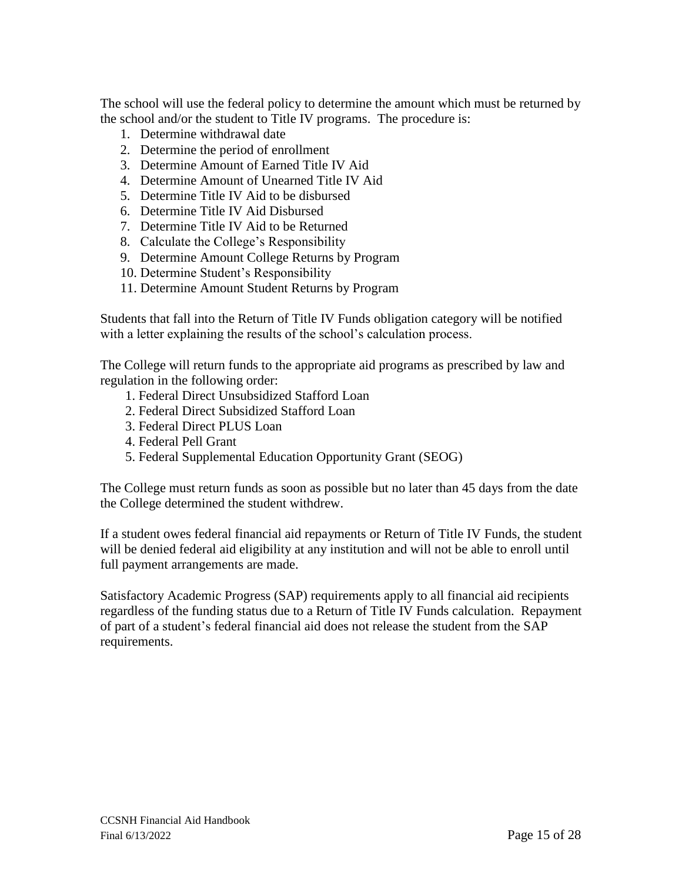The school will use the federal policy to determine the amount which must be returned by the school and/or the student to Title IV programs. The procedure is:

- 1. Determine withdrawal date
- 2. Determine the period of enrollment
- 3. Determine Amount of Earned Title IV Aid
- 4. Determine Amount of Unearned Title IV Aid
- 5. Determine Title IV Aid to be disbursed
- 6. Determine Title IV Aid Disbursed
- 7. Determine Title IV Aid to be Returned
- 8. Calculate the College's Responsibility
- 9. Determine Amount College Returns by Program
- 10. Determine Student's Responsibility
- 11. Determine Amount Student Returns by Program

Students that fall into the Return of Title IV Funds obligation category will be notified with a letter explaining the results of the school's calculation process.

The College will return funds to the appropriate aid programs as prescribed by law and regulation in the following order:

- 1. Federal Direct Unsubsidized Stafford Loan
- 2. Federal Direct Subsidized Stafford Loan
- 3. Federal Direct PLUS Loan
- 4. Federal Pell Grant
- 5. Federal Supplemental Education Opportunity Grant (SEOG)

The College must return funds as soon as possible but no later than 45 days from the date the College determined the student withdrew.

If a student owes federal financial aid repayments or Return of Title IV Funds, the student will be denied federal aid eligibility at any institution and will not be able to enroll until full payment arrangements are made.

<span id="page-14-0"></span>Satisfactory Academic Progress (SAP) requirements apply to all financial aid recipients regardless of the funding status due to a Return of Title IV Funds calculation. Repayment of part of a student's federal financial aid does not release the student from the SAP requirements.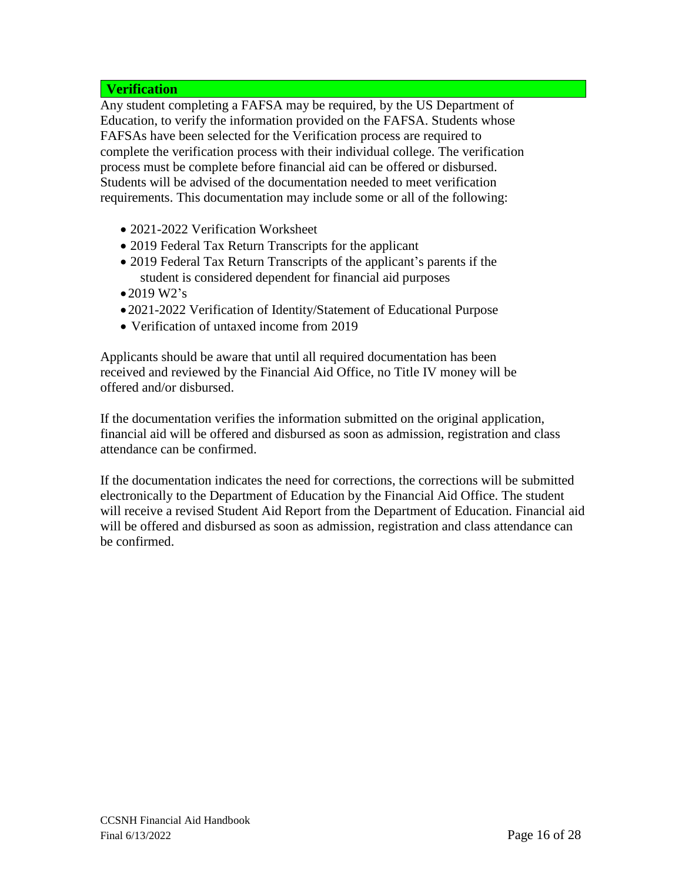## **Verification**

Any student completing a FAFSA may be required, by the US Department of Education, to verify the information provided on the FAFSA. Students whose FAFSAs have been selected for the Verification process are required to complete the verification process with their individual college. The verification process must be complete before financial aid can be offered or disbursed. Students will be advised of the documentation needed to meet verification requirements. This documentation may include some or all of the following:

- 2021-2022 Verification Worksheet
- 2019 Federal Tax Return Transcripts for the applicant
- 2019 Federal Tax Return Transcripts of the applicant's parents if the student is considered dependent for financial aid purposes
- •2019 W2's
- •2021-2022 Verification of Identity/Statement of Educational Purpose
- Verification of untaxed income from 2019

Applicants should be aware that until all required documentation has been received and reviewed by the Financial Aid Office, no Title IV money will be offered and/or disbursed.

If the documentation verifies the information submitted on the original application, financial aid will be offered and disbursed as soon as admission, registration and class attendance can be confirmed.

If the documentation indicates the need for corrections, the corrections will be submitted electronically to the Department of Education by the Financial Aid Office. The student will receive a revised Student Aid Report from the Department of Education. Financial aid will be offered and disbursed as soon as admission, registration and class attendance can be confirmed.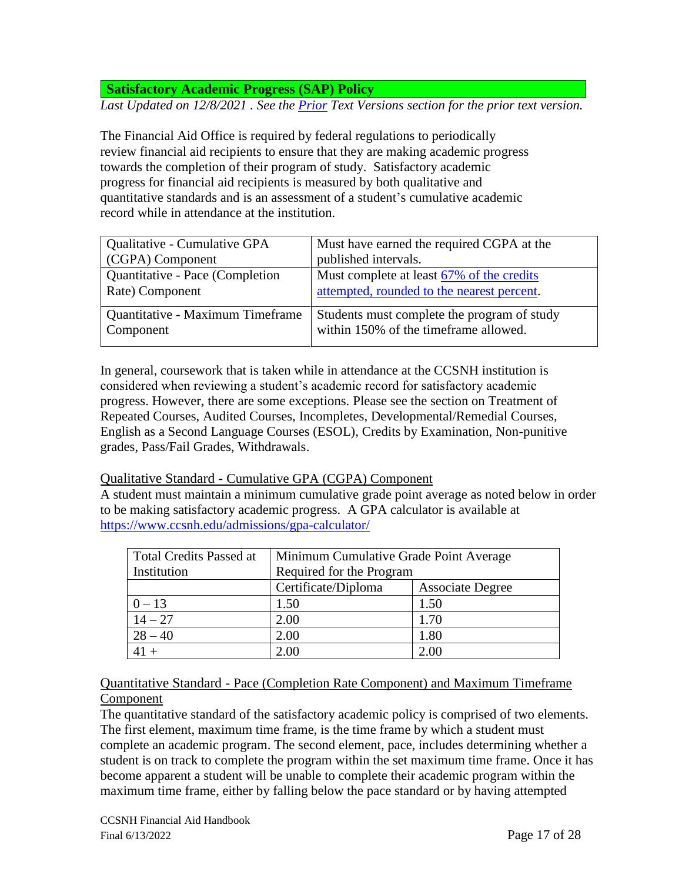**Satisfactory Academic Progress (SAP) Policy**

*Last Updated on 12/8/2021 . See the [Prior](#page-24-1) Text Versions section for the prior text version.*

The Financial Aid Office is required by federal regulations to periodically review financial aid recipients to ensure that they are making academic progress towards the completion of their program of study. Satisfactory academic progress for financial aid recipients is measured by both qualitative and quantitative standards and is an assessment of a student's cumulative academic record while in attendance at the institution.

| Must have earned the required CGPA at the   |  |
|---------------------------------------------|--|
| published intervals.                        |  |
| Must complete at least 67% of the credits   |  |
| attempted, rounded to the nearest percent.  |  |
| Students must complete the program of study |  |
| within 150% of the timeframe allowed.       |  |
|                                             |  |

In general, coursework that is taken while in attendance at the CCSNH institution is considered when reviewing a student's academic record for satisfactory academic progress. However, there are some exceptions. Please see the section on Treatment of Repeated Courses, Audited Courses, Incompletes, Developmental/Remedial Courses, English as a Second Language Courses (ESOL), Credits by Examination, Non-punitive grades, Pass/Fail Grades, Withdrawals.

### Qualitative Standard - Cumulative GPA (CGPA) Component

A student must maintain a minimum cumulative grade point average as noted below in order to be making satisfactory academic progress. A GPA calculator is available at <https://www.ccsnh.edu/admissions/gpa-calculator/>

| <b>Total Credits Passed at</b> | Minimum Cumulative Grade Point Average |                         |  |
|--------------------------------|----------------------------------------|-------------------------|--|
| Institution                    | Required for the Program               |                         |  |
|                                | Certificate/Diploma                    | <b>Associate Degree</b> |  |
| $0 - 13$                       | 1.50                                   | 1.50                    |  |
| $14 - 27$                      | 2.00                                   | 1.70                    |  |
| $28 - 40$                      | 2.00                                   | 1.80                    |  |
|                                | 2.00                                   | 2.00                    |  |

## Quantitative Standard - Pace (Completion Rate Component) and Maximum Timeframe Component

<span id="page-16-0"></span>The quantitative standard of the satisfactory academic policy is comprised of two elements. The first element, maximum time frame, is the time frame by which a student must complete an academic program. The second element, pace, includes determining whether a student is on track to complete the program within the set maximum time frame. Once it has become apparent a student will be unable to complete their academic program within the maximum time frame, either by falling below the pace standard or by having attempted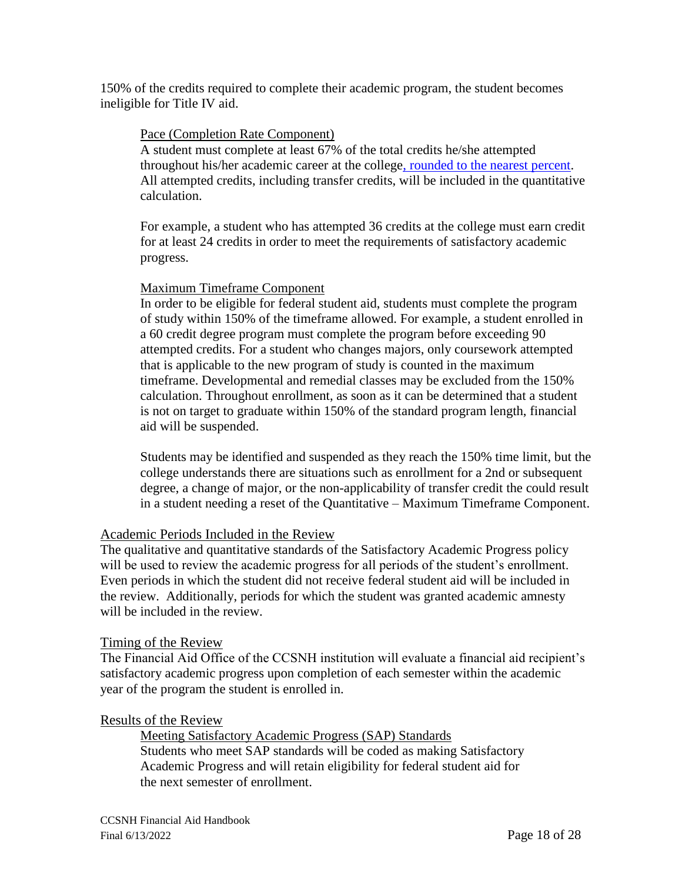150% of the credits required to complete their academic program, the student becomes ineligible for Title IV aid.

## Pace (Completion Rate Component)

A student must complete at least 67% of the total credits he/she attempted throughout his/her academic career at the college, [rounded to the nearest percent.](#page-16-0) All attempted credits, including transfer credits, will be included in the quantitative calculation.

For example, a student who has attempted 36 credits at the college must earn credit for at least 24 credits in order to meet the requirements of satisfactory academic progress.

## Maximum Timeframe Component

In order to be eligible for federal student aid, students must complete the program of study within 150% of the timeframe allowed. For example, a student enrolled in a 60 credit degree program must complete the program before exceeding 90 attempted credits. For a student who changes majors, only coursework attempted that is applicable to the new program of study is counted in the maximum timeframe. Developmental and remedial classes may be excluded from the 150% calculation. Throughout enrollment, as soon as it can be determined that a student is not on target to graduate within 150% of the standard program length, financial aid will be suspended.

Students may be identified and suspended as they reach the 150% time limit, but the college understands there are situations such as enrollment for a 2nd or subsequent degree, a change of major, or the non-applicability of transfer credit the could result in a student needing a reset of the Quantitative – Maximum Timeframe Component.

### Academic Periods Included in the Review

The qualitative and quantitative standards of the Satisfactory Academic Progress policy will be used to review the academic progress for all periods of the student's enrollment. Even periods in which the student did not receive federal student aid will be included in the review. Additionally, periods for which the student was granted academic amnesty will be included in the review.

### Timing of the Review

The Financial Aid Office of the CCSNH institution will evaluate a financial aid recipient's satisfactory academic progress upon completion of each semester within the academic year of the program the student is enrolled in.

### Results of the Review

Meeting Satisfactory Academic Progress (SAP) Standards Students who meet SAP standards will be coded as making Satisfactory Academic Progress and will retain eligibility for federal student aid for the next semester of enrollment.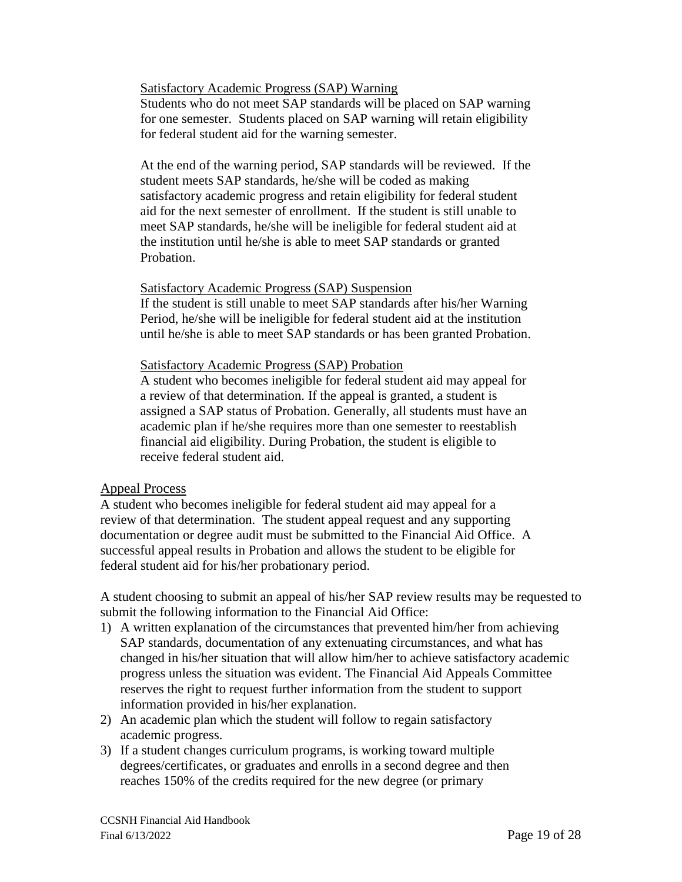Satisfactory Academic Progress (SAP) Warning

Students who do not meet SAP standards will be placed on SAP warning for one semester. Students placed on SAP warning will retain eligibility for federal student aid for the warning semester.

At the end of the warning period, SAP standards will be reviewed. If the student meets SAP standards, he/she will be coded as making satisfactory academic progress and retain eligibility for federal student aid for the next semester of enrollment. If the student is still unable to meet SAP standards, he/she will be ineligible for federal student aid at the institution until he/she is able to meet SAP standards or granted Probation.

### Satisfactory Academic Progress (SAP) Suspension

If the student is still unable to meet SAP standards after his/her Warning Period, he/she will be ineligible for federal student aid at the institution until he/she is able to meet SAP standards or has been granted Probation.

### Satisfactory Academic Progress (SAP) Probation

A student who becomes ineligible for federal student aid may appeal for a review of that determination. If the appeal is granted, a student is assigned a SAP status of Probation. Generally, all students must have an academic plan if he/she requires more than one semester to reestablish financial aid eligibility. During Probation, the student is eligible to receive federal student aid.

### Appeal Process

A student who becomes ineligible for federal student aid may appeal for a review of that determination. The student appeal request and any supporting documentation or degree audit must be submitted to the Financial Aid Office. A successful appeal results in Probation and allows the student to be eligible for federal student aid for his/her probationary period.

A student choosing to submit an appeal of his/her SAP review results may be requested to submit the following information to the Financial Aid Office:

- 1) A written explanation of the circumstances that prevented him/her from achieving SAP standards, documentation of any extenuating circumstances, and what has changed in his/her situation that will allow him/her to achieve satisfactory academic progress unless the situation was evident. The Financial Aid Appeals Committee reserves the right to request further information from the student to support information provided in his/her explanation.
- 2) An academic plan which the student will follow to regain satisfactory academic progress.
- 3) If a student changes curriculum programs, is working toward multiple degrees/certificates, or graduates and enrolls in a second degree and then reaches 150% of the credits required for the new degree (or primary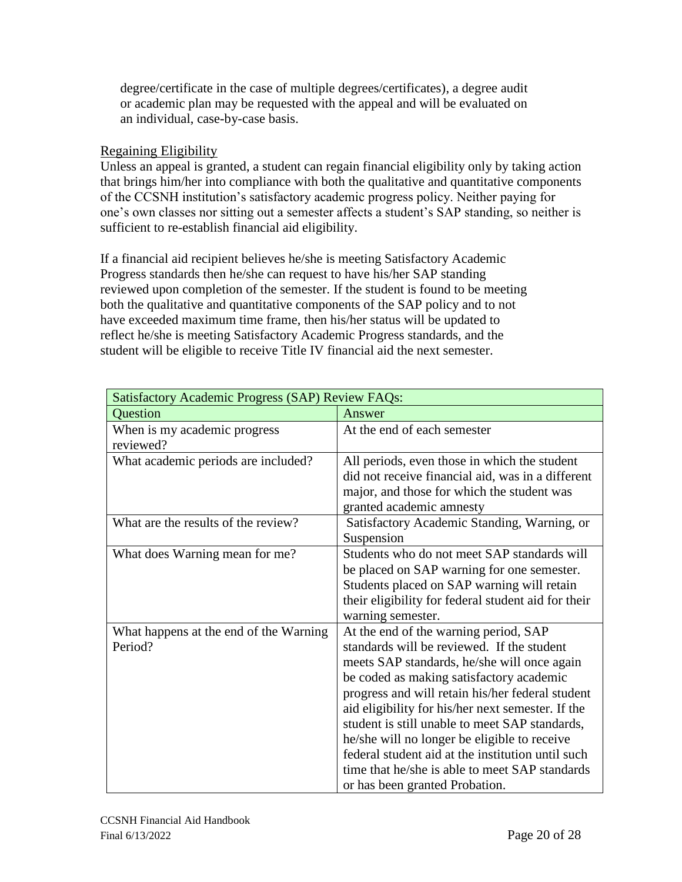degree/certificate in the case of multiple degrees/certificates), a degree audit or academic plan may be requested with the appeal and will be evaluated on an individual, case-by-case basis.

## Regaining Eligibility

Unless an appeal is granted, a student can regain financial eligibility only by taking action that brings him/her into compliance with both the qualitative and quantitative components of the CCSNH institution's satisfactory academic progress policy. Neither paying for one's own classes nor sitting out a semester affects a student's SAP standing, so neither is sufficient to re-establish financial aid eligibility.

If a financial aid recipient believes he/she is meeting Satisfactory Academic Progress standards then he/she can request to have his/her SAP standing reviewed upon completion of the semester. If the student is found to be meeting both the qualitative and quantitative components of the SAP policy and to not have exceeded maximum time frame, then his/her status will be updated to reflect he/she is meeting Satisfactory Academic Progress standards, and the student will be eligible to receive Title IV financial aid the next semester.

| <b>Satisfactory Academic Progress (SAP) Review FAQs:</b> |                                                                                                                                                                                                                                                                                                                                                                                                                                                                                                                                    |  |
|----------------------------------------------------------|------------------------------------------------------------------------------------------------------------------------------------------------------------------------------------------------------------------------------------------------------------------------------------------------------------------------------------------------------------------------------------------------------------------------------------------------------------------------------------------------------------------------------------|--|
| Question<br>Answer                                       |                                                                                                                                                                                                                                                                                                                                                                                                                                                                                                                                    |  |
| When is my academic progress<br>reviewed?                | At the end of each semester                                                                                                                                                                                                                                                                                                                                                                                                                                                                                                        |  |
| What academic periods are included?                      | All periods, even those in which the student<br>did not receive financial aid, was in a different<br>major, and those for which the student was<br>granted academic amnesty                                                                                                                                                                                                                                                                                                                                                        |  |
| What are the results of the review?                      | Satisfactory Academic Standing, Warning, or<br>Suspension                                                                                                                                                                                                                                                                                                                                                                                                                                                                          |  |
| What does Warning mean for me?                           | Students who do not meet SAP standards will<br>be placed on SAP warning for one semester.<br>Students placed on SAP warning will retain<br>their eligibility for federal student aid for their<br>warning semester.                                                                                                                                                                                                                                                                                                                |  |
| What happens at the end of the Warning<br>Period?        | At the end of the warning period, SAP<br>standards will be reviewed. If the student<br>meets SAP standards, he/she will once again<br>be coded as making satisfactory academic<br>progress and will retain his/her federal student<br>aid eligibility for his/her next semester. If the<br>student is still unable to meet SAP standards,<br>he/she will no longer be eligible to receive<br>federal student aid at the institution until such<br>time that he/she is able to meet SAP standards<br>or has been granted Probation. |  |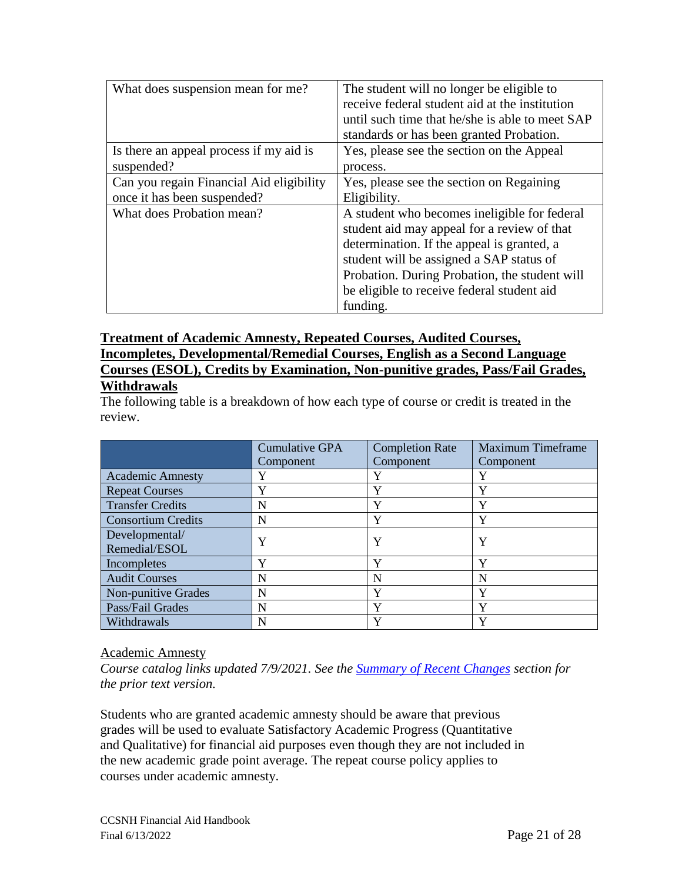| What does suspension mean for me?        | The student will no longer be eligible to<br>receive federal student aid at the institution<br>until such time that he/she is able to meet SAP<br>standards or has been granted Probation.                                                                                                       |
|------------------------------------------|--------------------------------------------------------------------------------------------------------------------------------------------------------------------------------------------------------------------------------------------------------------------------------------------------|
| Is there an appeal process if my aid is  | Yes, please see the section on the Appeal                                                                                                                                                                                                                                                        |
| suspended?                               | process.                                                                                                                                                                                                                                                                                         |
| Can you regain Financial Aid eligibility | Yes, please see the section on Regaining                                                                                                                                                                                                                                                         |
| once it has been suspended?              | Eligibility.                                                                                                                                                                                                                                                                                     |
| What does Probation mean?                | A student who becomes ineligible for federal<br>student aid may appeal for a review of that<br>determination. If the appeal is granted, a<br>student will be assigned a SAP status of<br>Probation. During Probation, the student will<br>be eligible to receive federal student aid<br>funding. |

# **Treatment of Academic Amnesty, Repeated Courses, Audited Courses, Incompletes, Developmental/Remedial Courses, English as a Second Language Courses (ESOL), Credits by Examination, Non-punitive grades, Pass/Fail Grades,**

# **Withdrawals**

The following table is a breakdown of how each type of course or credit is treated in the review.

|                           | Cumulative GPA | <b>Completion Rate</b> | <b>Maximum Timeframe</b> |
|---------------------------|----------------|------------------------|--------------------------|
|                           | Component      | Component              | Component                |
| <b>Academic Amnesty</b>   | Y              | Y                      | Y                        |
| <b>Repeat Courses</b>     | Y              | Y                      | Y                        |
| <b>Transfer Credits</b>   | N              | v                      | Y                        |
| <b>Consortium Credits</b> | N              | Y                      | Y                        |
| Developmental/            | Y              | Y                      | Y                        |
| Remedial/ESOL             |                |                        |                          |
| Incompletes               | Y              | Y                      | Y                        |
| <b>Audit Courses</b>      | N              | N                      | N                        |
| Non-punitive Grades       | N              | v                      | Y                        |
| Pass/Fail Grades          | N              | $\mathbf v$            | Y                        |
| Withdrawals               | N              | Y                      | Y                        |

## <span id="page-20-0"></span>Academic Amnesty

*Course catalog links updated 7/9/2021. See the [Summary of Recent Changes](#page-24-1) section for the prior text version.* 

Students who are granted academic amnesty should be aware that previous grades will be used to evaluate Satisfactory Academic Progress (Quantitative and Qualitative) for financial aid purposes even though they are not included in the new academic grade point average. The repeat course policy applies to courses under academic amnesty.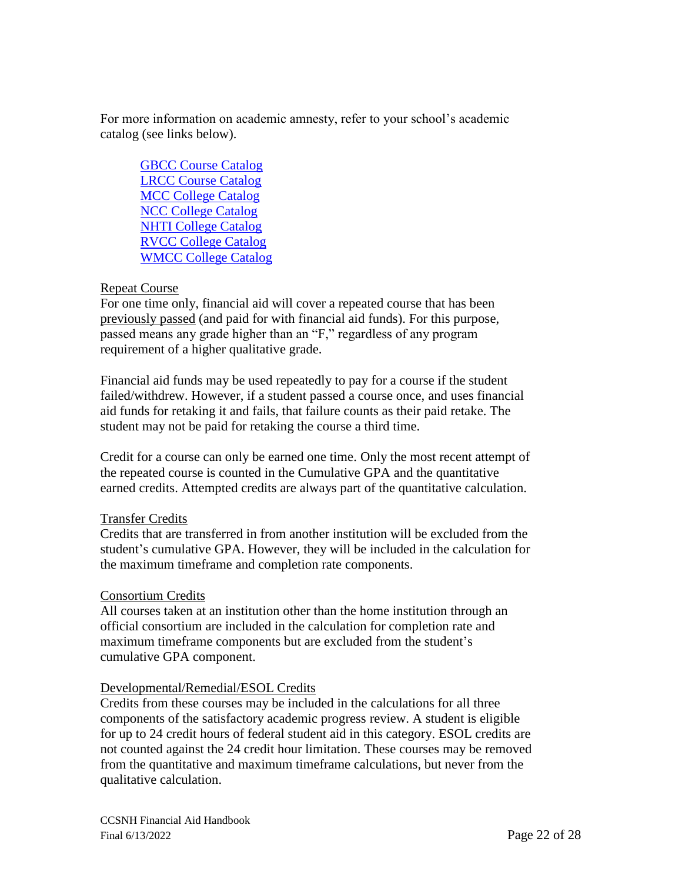For more information on academic amnesty, refer to your school's academic catalog (see links below).

[GBCC Course Catalog](https://www.greatbay.edu/academics/college-catalog/) [LRCC Course Catalog](https://www.lrcc.edu/programs-training/course-catalogs/) [MCC College Catalog](https://www.mccnh.edu/academics/academic-catalogs) [NCC College Catalog](https://nashua.cleancatalog.io/catalog) [NHTI College Catalog](https://www.nhti.edu/academics/catalog) [RVCC College Catalog](https://www.rivervalley.edu/student-resources/college-catalog) [WMCC College Catalog](https://www.wmcc.edu/academics/college-catalogs/)

## Repeat Course

For one time only, financial aid will cover a repeated course that has been previously passed (and paid for with financial aid funds). For this purpose, passed means any grade higher than an "F," regardless of any program requirement of a higher qualitative grade.

Financial aid funds may be used repeatedly to pay for a course if the student failed/withdrew. However, if a student passed a course once, and uses financial aid funds for retaking it and fails, that failure counts as their paid retake. The student may not be paid for retaking the course a third time.

Credit for a course can only be earned one time. Only the most recent attempt of the repeated course is counted in the Cumulative GPA and the quantitative earned credits. Attempted credits are always part of the quantitative calculation.

### Transfer Credits

Credits that are transferred in from another institution will be excluded from the student's cumulative GPA. However, they will be included in the calculation for the maximum timeframe and completion rate components.

## Consortium Credits

All courses taken at an institution other than the home institution through an official consortium are included in the calculation for completion rate and maximum timeframe components but are excluded from the student's cumulative GPA component.

### Developmental/Remedial/ESOL Credits

Credits from these courses may be included in the calculations for all three components of the satisfactory academic progress review. A student is eligible for up to 24 credit hours of federal student aid in this category. ESOL credits are not counted against the 24 credit hour limitation. These courses may be removed from the quantitative and maximum timeframe calculations, but never from the qualitative calculation.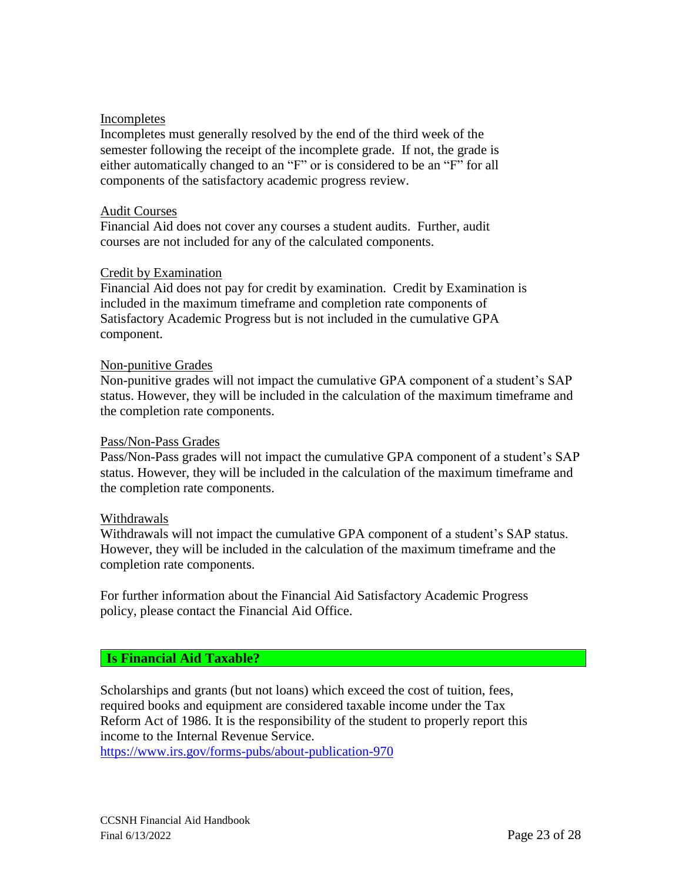### Incompletes

Incompletes must generally resolved by the end of the third week of the semester following the receipt of the incomplete grade. If not, the grade is either automatically changed to an "F" or is considered to be an "F" for all components of the satisfactory academic progress review.

#### Audit Courses

Financial Aid does not cover any courses a student audits. Further, audit courses are not included for any of the calculated components.

### Credit by Examination

Financial Aid does not pay for credit by examination. Credit by Examination is included in the maximum timeframe and completion rate components of Satisfactory Academic Progress but is not included in the cumulative GPA component.

#### Non-punitive Grades

Non-punitive grades will not impact the cumulative GPA component of a student's SAP status. However, they will be included in the calculation of the maximum timeframe and the completion rate components.

#### Pass/Non-Pass Grades

Pass/Non-Pass grades will not impact the cumulative GPA component of a student's SAP status. However, they will be included in the calculation of the maximum timeframe and the completion rate components.

#### Withdrawals

Withdrawals will not impact the cumulative GPA component of a student's SAP status. However, they will be included in the calculation of the maximum timeframe and the completion rate components.

For further information about the Financial Aid Satisfactory Academic Progress policy, please contact the Financial Aid Office.

### <span id="page-22-0"></span>**Is Financial Aid Taxable?**

Scholarships and grants (but not loans) which exceed the cost of tuition, fees, required books and equipment are considered taxable income under the Tax Reform Act of 1986. It is the responsibility of the student to properly report this income to the Internal Revenue Service. <https://www.irs.gov/forms-pubs/about-publication-970>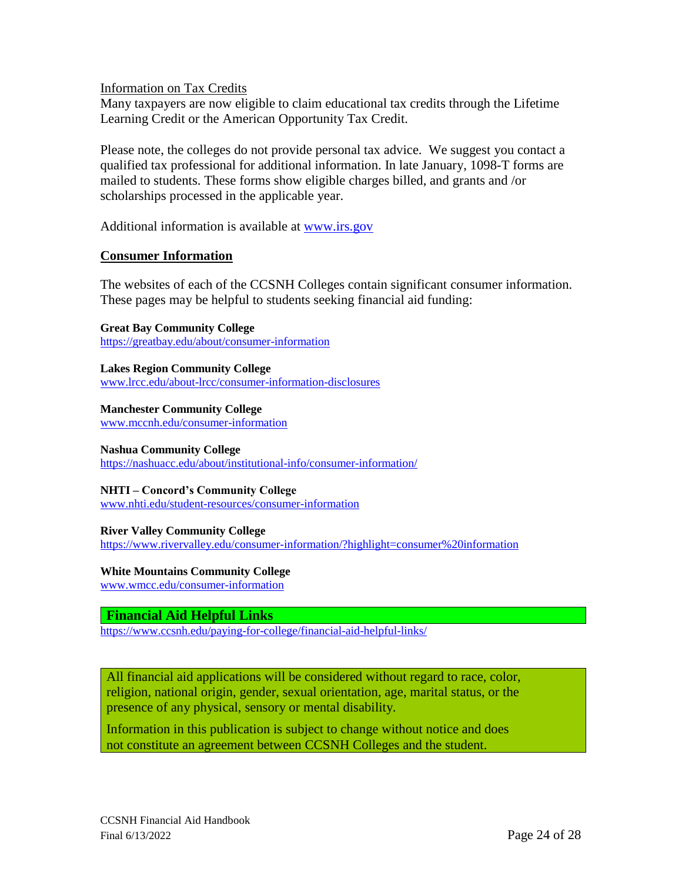Information on Tax Credits

Many taxpayers are now eligible to claim educational tax credits through the Lifetime Learning Credit or the American Opportunity Tax Credit.

Please note, the colleges do not provide personal tax advice. We suggest you contact a qualified tax professional for additional information. In late January, 1098-T forms are mailed to students. These forms show eligible charges billed, and grants and /or scholarships processed in the applicable year.

Additional information is available at [www.irs.gov](http://www.irs.gov/) 

### **Consumer Information**

The websites of each of the CCSNH Colleges contain significant consumer information. These pages may be helpful to students seeking financial aid funding:

**Great Bay Community College** <https://greatbay.edu/about/consumer-information>

**Lakes Region Community College** [www.lrcc.edu/about-lrcc/consumer-information-disclosures](http://www.lrcc.edu/about-lrcc/consumer-information-disclosures)

**Manchester Community College** [www.mccnh.edu/consumer-information](http://www.mccnh.edu/consumer-information)

**Nashua Community College**

<https://nashuacc.edu/about/institutional-info/consumer-information/>

#### **NHTI – Concord's Community College**

[www.nhti.edu/student-resources/consumer-information](http://www.nhti.edu/student-resources/consumer-information)

#### **River Valley Community College**

<https://www.rivervalley.edu/consumer-information/?highlight=consumer%20information>

### **White Mountains Community College**

[www.wmcc.edu/consumer-information](http://www.wmcc.edu/consumer-information)

**Financial Aid Helpful Links**

<https://www.ccsnh.edu/paying-for-college/financial-aid-helpful-links/>

All financial aid applications will be considered without regard to race, color, religion, national origin, gender, sexual orientation, age, marital status, or the presence of any physical, sensory or mental disability.

Information in this publication is subject to change without notice and does not constitute an agreement between CCSNH Colleges and the student.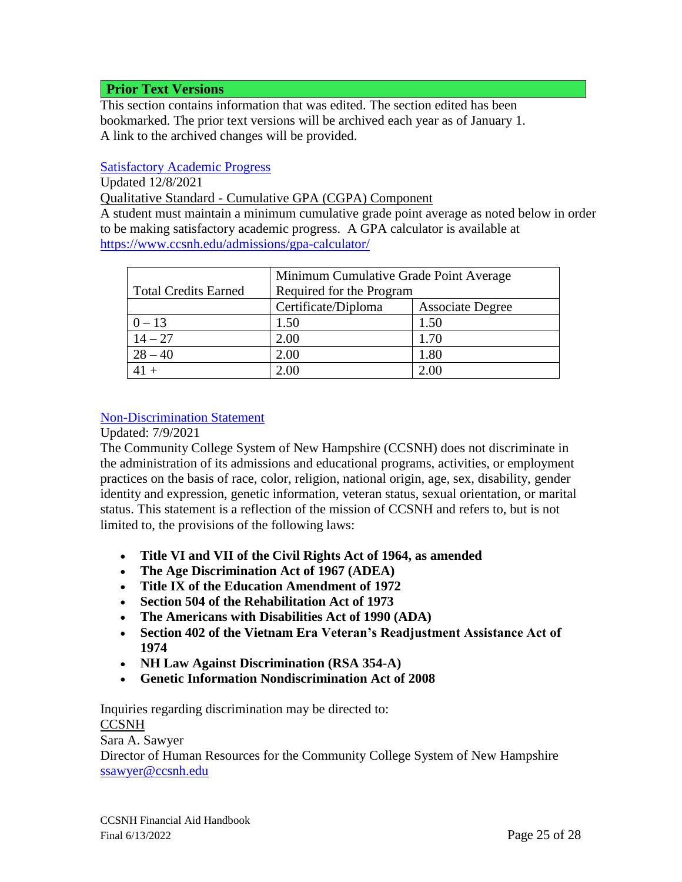## <span id="page-24-1"></span>**Prior Text Versions**

This section contains information that was edited. The section edited has been bookmarked. The prior text versions will be archived each year as of January 1. A link to the archived changes will be provided.

## <span id="page-24-0"></span>[Satisfactory Academic Progress](#page-24-0)

Updated 12/8/2021

Qualitative Standard - Cumulative GPA (CGPA) Component

A student must maintain a minimum cumulative grade point average as noted below in order to be making satisfactory academic progress. A GPA calculator is available at <https://www.ccsnh.edu/admissions/gpa-calculator/>

|                             | Minimum Cumulative Grade Point Average |                         |  |
|-----------------------------|----------------------------------------|-------------------------|--|
| <b>Total Credits Earned</b> | Required for the Program               |                         |  |
|                             | Certificate/Diploma                    | <b>Associate Degree</b> |  |
| $0 - 13$                    | 1.50                                   | 1.50                    |  |
| $14 - 27$                   | 2.00                                   | 1.70                    |  |
| $28 - 40$                   | 2.00                                   | 1.80                    |  |
|                             | 2.00                                   | 2.00                    |  |

## [Non-Discrimination Statement](#page-1-1)

### Updated: 7/9/2021

The Community College System of New Hampshire (CCSNH) does not discriminate in the administration of its admissions and educational programs, activities, or employment practices on the basis of race, color, religion, national origin, age, sex, disability, gender identity and expression, genetic information, veteran status, sexual orientation, or marital status. This statement is a reflection of the mission of CCSNH and refers to, but is not limited to, the provisions of the following laws:

- **Title VI and VII of the Civil Rights Act of 1964, as amended**
- **The Age Discrimination Act of 1967 (ADEA)**
- **Title IX of the Education Amendment of 1972**
- **Section 504 of the Rehabilitation Act of 1973**
- **The Americans with Disabilities Act of 1990 (ADA)**
- **Section 402 of the Vietnam Era Veteran's Readjustment Assistance Act of 1974**
- **NH Law Against Discrimination (RSA 354-A)**
- **Genetic Information Nondiscrimination Act of 2008**

Inquiries regarding discrimination may be directed to: **CCSNH** 

Sara A. Sawyer

Director of Human Resources for the Community College System of New Hampshire [ssawyer@ccsnh.edu](mailto:ssawyer@ccsnh.edu)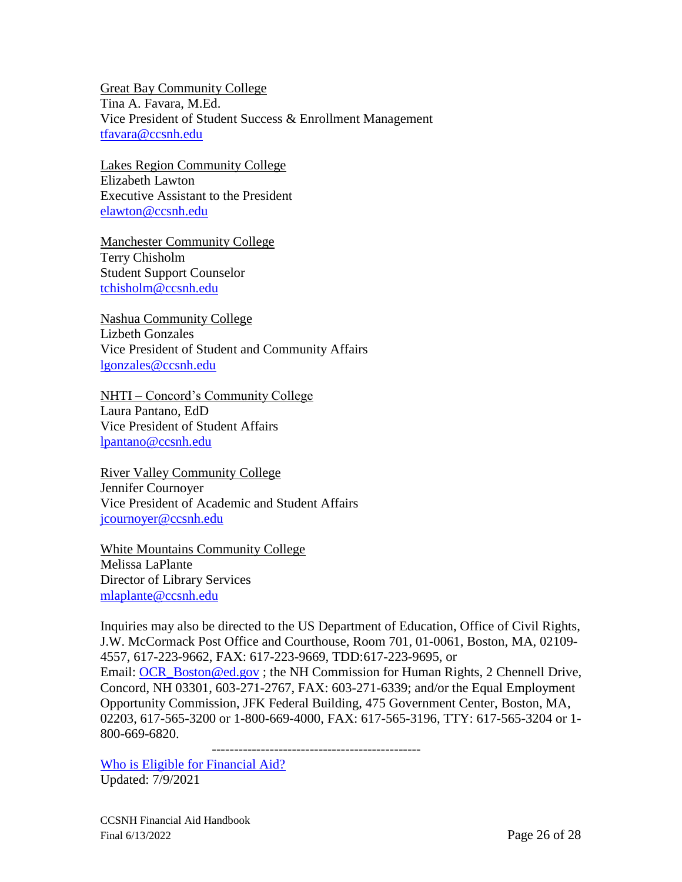Great Bay Community College Tina A. Favara, M.Ed. Vice President of Student Success & Enrollment Management [tfavara@ccsnh.edu](mailto:tfavara@ccsnh.edu)

Lakes Region Community College Elizabeth Lawton Executive Assistant to the President [elawton@ccsnh.edu](mailto:elawton@ccsnh.edu)

Manchester Community College Terry Chisholm Student Support Counselor [tchisholm@ccsnh.edu](mailto:tchisholm@ccsnh.edu)

Nashua Community College Lizbeth Gonzales Vice President of Student and Community Affairs [lgonzales@ccsnh.edu](mailto:lgonzales@ccsnh.edu)

NHTI – Concord's Community College Laura Pantano, EdD Vice President of Student Affairs [lpantano@ccsnh.edu](mailto:lpantano@ccsnh.edu)

River Valley Community College Jennifer Cournoyer Vice President of Academic and Student Affairs [jcournoyer@ccsnh.edu](mailto:jcournoyer@ccsnh.edu)

White Mountains Community College Melissa LaPlante Director of Library Services [mlaplante@ccsnh.edu](mailto:mlaplante@ccsnh.edu)

Inquiries may also be directed to the US Department of Education, Office of Civil Rights, J.W. McCormack Post Office and Courthouse, Room 701, 01-0061, Boston, MA, 02109- 4557, 617-223-9662, FAX: 617-223-9669, TDD:617-223-9695, or Email: [OCR\\_Boston@ed.gov](mailto:OCR_Boston@ed.gov) ; the NH Commission for Human Rights, 2 Chennell Drive, Concord, NH 03301, 603-271-2767, FAX: 603-271-6339; and/or the Equal Employment Opportunity Commission, JFK Federal Building, 475 Government Center, Boston, MA, 02203, 617-565-3200 or 1-800-669-4000, FAX: 617-565-3196, TTY: 617-565-3204 or 1- 800-669-6820.

-----------------------------------------------

[Who is Eligible for Financial Aid?](#page-6-0) Updated: 7/9/2021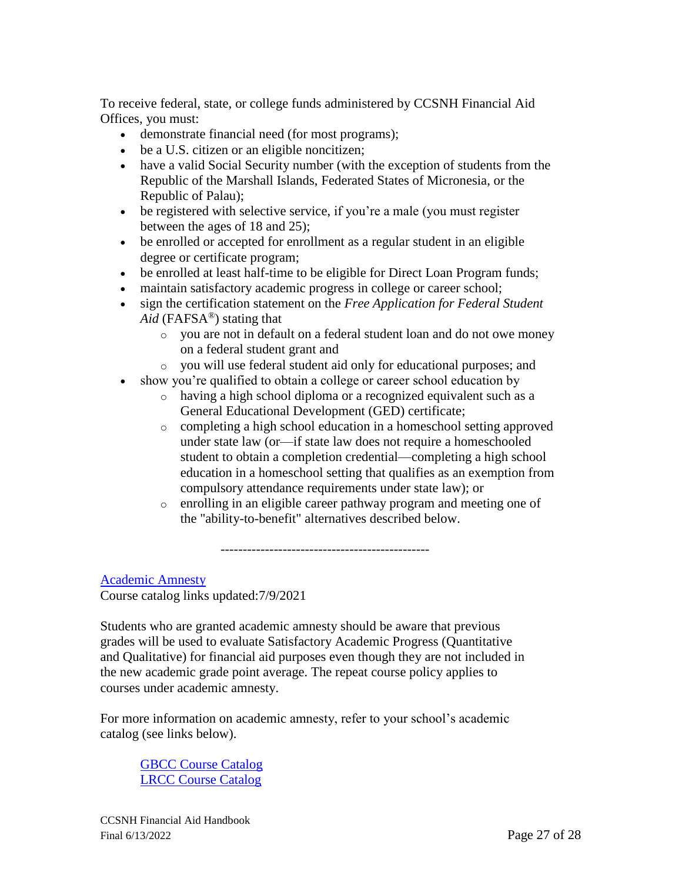To receive federal, state, or college funds administered by CCSNH Financial Aid Offices, you must:

- demonstrate financial need (for most programs);
- be a U.S. citizen or an eligible noncitizen;
- have a valid Social Security number (with the exception of students from the Republic of the Marshall Islands, Federated States of Micronesia, or the Republic of Palau);
- be registered with selective service, if you're a male (you must register between the ages of 18 and 25);
- be enrolled or accepted for enrollment as a regular student in an eligible degree or certificate program;
- be enrolled at least half-time to be eligible for Direct Loan Program funds;
- maintain satisfactory academic progress in college or career school;
- sign the certification statement on the *Free Application for Federal Student Aid* (FAFSA®) stating that
	- o you are not in default on a federal student loan and do not owe money on a federal student grant and
	- o you will use federal student aid only for educational purposes; and
- show you're qualified to obtain a college or career school education by
	- o having a high school diploma or a recognized equivalent such as a General Educational Development (GED) certificate;
	- o completing a high school education in a homeschool setting approved under state law (or—if state law does not require a homeschooled student to obtain a completion credential—completing a high school education in a homeschool setting that qualifies as an exemption from compulsory attendance requirements under state law); or
	- o enrolling in an eligible career pathway program and meeting one of the "ability-to-benefit" alternatives described below.

[Academic Amnesty](#page-20-0) Course catalog links updated:7/9/2021

Students who are granted academic amnesty should be aware that previous grades will be used to evaluate Satisfactory Academic Progress (Quantitative and Qualitative) for financial aid purposes even though they are not included in the new academic grade point average. The repeat course policy applies to courses under academic amnesty.

-----------------------------------------------

For more information on academic amnesty, refer to your school's academic catalog (see links below).

[GBCC Course Catalog](https://greatbay.edu/courses/course-catalog) [LRCC Course Catalog](https://www.lrcc.edu/wp-content/uploads/2020/06/2020-2021-LRCC-Catalog.pdf)